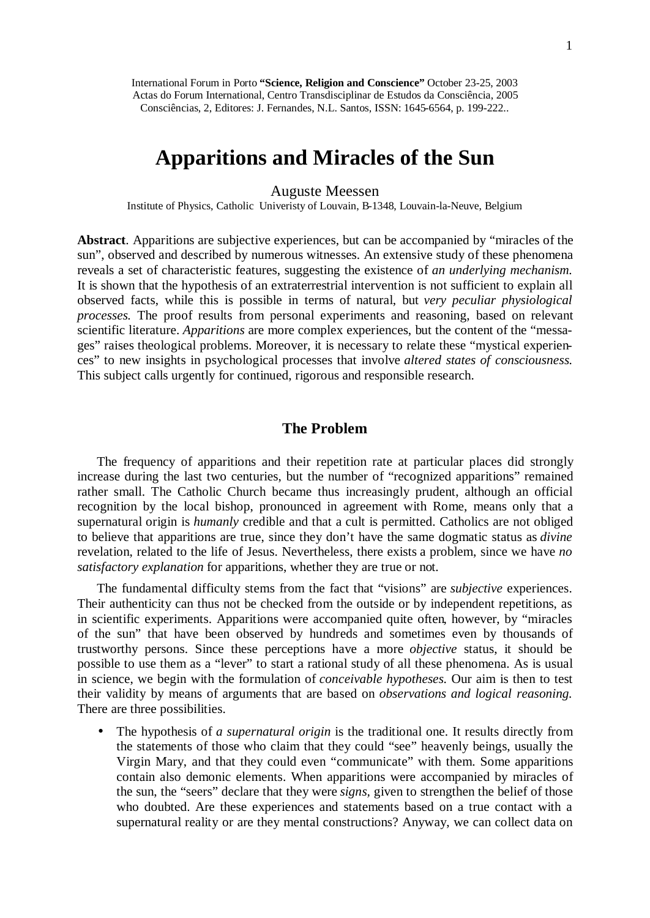# **Apparitions and Miracles of the Sun**

Auguste Meessen

Institute of Physics, Catholic Univeristy of Louvain, B-1348, Louvain-la-Neuve, Belgium

**Abstract**. Apparitions are subjective experiences, but can be accompanied by "miracles of the sun", observed and described by numerous witnesses. An extensive study of these phenomena reveals a set of characteristic features, suggesting the existence of *an underlying mechanism.* It is shown that the hypothesis of an extraterrestrial intervention is not sufficient to explain all observed facts, while this is possible in terms of natural, but *very peculiar physiological processes.* The proof results from personal experiments and reasoning, based on relevant scientific literature. *Apparitions* are more complex experiences, but the content of the "messages" raises theological problems. Moreover, it is necessary to relate these "mystical experiences" to new insights in psychological processes that involve *altered states of consciousness.* This subject calls urgently for continued, rigorous and responsible research.

## **The Problem**

The frequency of apparitions and their repetition rate at particular places did strongly increase during the last two centuries, but the number of "recognized apparitions" remained rather small. The Catholic Church became thus increasingly prudent, although an official recognition by the local bishop, pronounced in agreement with Rome, means only that a supernatural origin is *humanly* credible and that a cult is permitted. Catholics are not obliged to believe that apparitions are true, since they don't have the same dogmatic status as *divine* revelation, related to the life of Jesus. Nevertheless, there exists a problem, since we have *no satisfactory explanation* for apparitions, whether they are true or not.

The fundamental difficulty stems from the fact that "visions" are *subjective* experiences. Their authenticity can thus not be checked from the outside or by independent repetitions, as in scientific experiments. Apparitions were accompanied quite often, however, by "miracles of the sun" that have been observed by hundreds and sometimes even by thousands of trustworthy persons. Since these perceptions have a more *objective* status, it should be possible to use them as a "lever" to start a rational study of all these phenomena. As is usual in science, we begin with the formulation of *conceivable hypotheses.* Our aim is then to test their validity by means of arguments that are based on *observations and logical reasoning.* There are three possibilities.

• The hypothesis of *a supernatural origin* is the traditional one. It results directly from the statements of those who claim that they could "see" heavenly beings, usually the Virgin Mary, and that they could even "communicate" with them. Some apparitions contain also demonic elements. When apparitions were accompanied by miracles of the sun, the "seers" declare that they were *signs,* given to strengthen the belief of those who doubted. Are these experiences and statements based on a true contact with a supernatural reality or are they mental constructions? Anyway, we can collect data on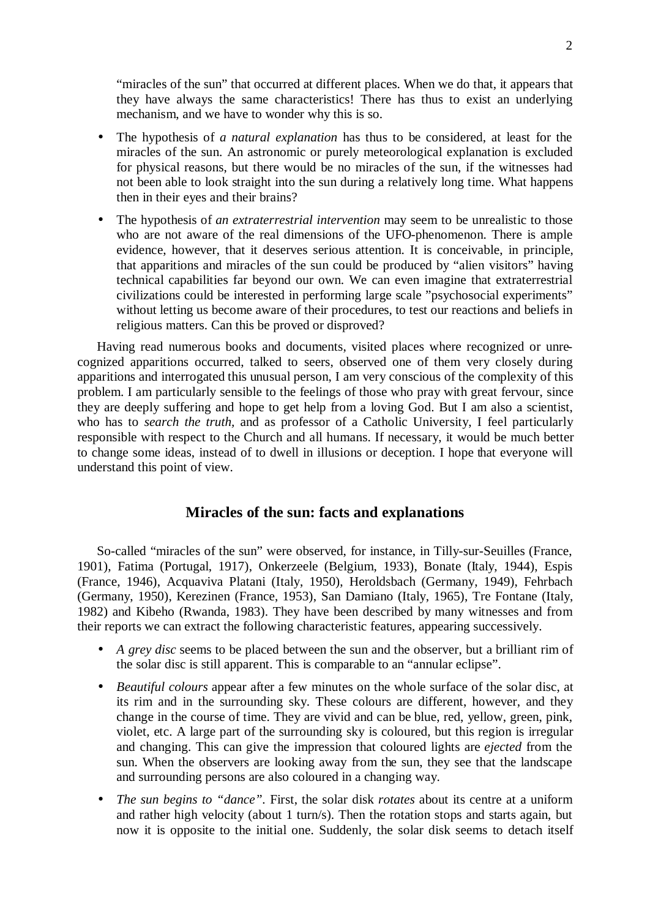"miracles of the sun" that occurred at different places. When we do that, it appears that they have always the same characteristics! There has thus to exist an underlying mechanism, and we have to wonder why this is so.

- The hypothesis of *a natural explanation* has thus to be considered, at least for the miracles of the sun. An astronomic or purely meteorological explanation is excluded for physical reasons, but there would be no miracles of the sun, if the witnesses had not been able to look straight into the sun during a relatively long time. What happens then in their eyes and their brains?
- The hypothesis of *an extraterrestrial intervention* may seem to be unrealistic to those who are not aware of the real dimensions of the UFO-phenomenon. There is ample evidence, however, that it deserves serious attention. It is conceivable, in principle, that apparitions and miracles of the sun could be produced by "alien visitors" having technical capabilities far beyond our own. We can even imagine that extraterrestrial civilizations could be interested in performing large scale "psychosocial experiments" without letting us become aware of their procedures, to test our reactions and beliefs in religious matters. Can this be proved or disproved?

Having read numerous books and documents, visited places where recognized or unrecognized apparitions occurred, talked to seers, observed one of them very closely during apparitions and interrogated this unusual person, I am very conscious of the complexity of this problem. I am particularly sensible to the feelings of those who pray with great fervour, since they are deeply suffering and hope to get help from a loving God. But I am also a scientist, who has to *search the truth,* and as professor of a Catholic University, I feel particularly responsible with respect to the Church and all humans. If necessary, it would be much better to change some ideas, instead of to dwell in illusions or deception. I hope that everyone will understand this point of view.

## **Miracles of the sun: facts and explanations**

So-called "miracles of the sun" were observed, for instance, in Tilly-sur-Seuilles (France, 1901), Fatima (Portugal, 1917), Onkerzeele (Belgium, 1933), Bonate (Italy, 1944), Espis (France, 1946), Acquaviva Platani (Italy, 1950), Heroldsbach (Germany, 1949), Fehrbach (Germany, 1950), Kerezinen (France, 1953), San Damiano (Italy, 1965), Tre Fontane (Italy, 1982) and Kibeho (Rwanda, 1983). They have been described by many witnesses and from their reports we can extract the following characteristic features, appearing successively.

- *A grey disc* seems to be placed between the sun and the observer, but a brilliant rim of the solar disc is still apparent. This is comparable to an "annular eclipse".
- *Beautiful colours* appear after a few minutes on the whole surface of the solar disc, at its rim and in the surrounding sky. These colours are different, however, and they change in the course of time. They are vivid and can be blue, red, yellow, green, pink, violet, etc. A large part of the surrounding sky is coloured, but this region is irregular and changing. This can give the impression that coloured lights are *ejected* from the sun. When the observers are looking away from the sun, they see that the landscape and surrounding persons are also coloured in a changing way.
- *The sun begins to "dance".* First, the solar disk *rotates* about its centre at a uniform and rather high velocity (about 1 turn/s). Then the rotation stops and starts again, but now it is opposite to the initial one. Suddenly, the solar disk seems to detach itself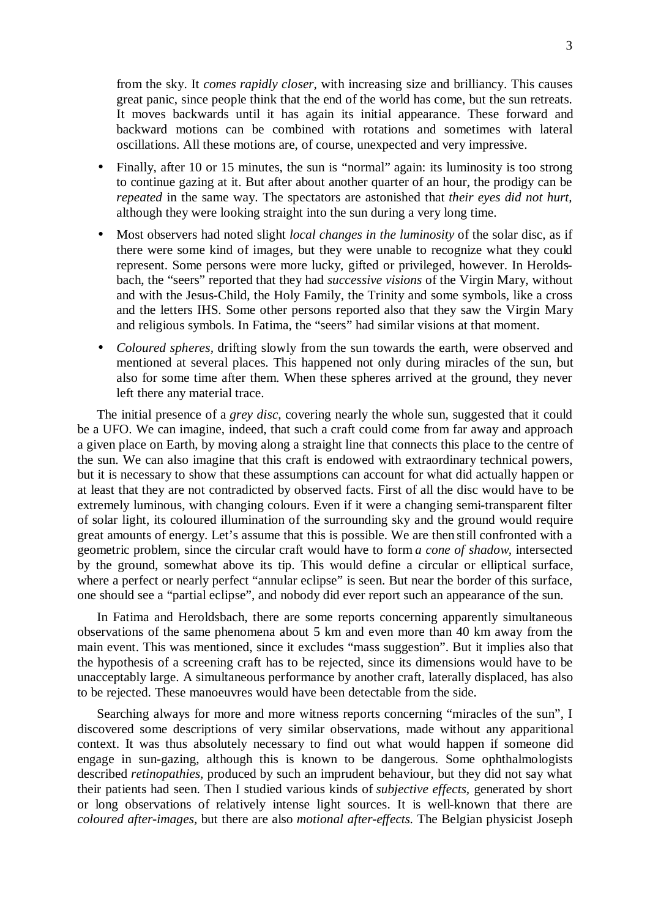from the sky. It *comes rapidly closer,* with increasing size and brilliancy. This causes great panic, since people think that the end of the world has come, but the sun retreats. It moves backwards until it has again its initial appearance. These forward and backward motions can be combined with rotations and sometimes with lateral oscillations. All these motions are, of course, unexpected and very impressive.

- Finally, after 10 or 15 minutes, the sun is "normal" again: its luminosity is too strong to continue gazing at it. But after about another quarter of an hour, the prodigy can be *repeated* in the same way. The spectators are astonished that *their eyes did not hurt,*  although they were looking straight into the sun during a very long time.
- Most observers had noted slight *local changes in the luminosity* of the solar disc, as if there were some kind of images, but they were unable to recognize what they could represent. Some persons were more lucky, gifted or privileged, however. In Heroldsbach, the "seers" reported that they had *successive visions* of the Virgin Mary, without and with the Jesus-Child, the Holy Family, the Trinity and some symbols, like a cross and the letters IHS. Some other persons reported also that they saw the Virgin Mary and religious symbols. In Fatima, the "seers" had similar visions at that moment.
- *Coloured spheres*, drifting slowly from the sun towards the earth, were observed and mentioned at several places. This happened not only during miracles of the sun, but also for some time after them. When these spheres arrived at the ground, they never left there any material trace.

The initial presence of a *grey disc,* covering nearly the whole sun, suggested that it could be a UFO. We can imagine, indeed, that such a craft could come from far away and approach a given place on Earth, by moving along a straight line that connects this place to the centre of the sun. We can also imagine that this craft is endowed with extraordinary technical powers, but it is necessary to show that these assumptions can account for what did actually happen or at least that they are not contradicted by observed facts. First of all the disc would have to be extremely luminous, with changing colours. Even if it were a changing semi-transparent filter of solar light, its coloured illumination of the surrounding sky and the ground would require great amounts of energy. Let's assume that this is possible. We are then still confronted with a geometric problem, since the circular craft would have to form *a cone of shadow,* intersected by the ground, somewhat above its tip. This would define a circular or elliptical surface, where a perfect or nearly perfect "annular eclipse" is seen. But near the border of this surface, one should see a "partial eclipse", and nobody did ever report such an appearance of the sun.

In Fatima and Heroldsbach, there are some reports concerning apparently simultaneous observations of the same phenomena about 5 km and even more than 40 km away from the main event. This was mentioned, since it excludes "mass suggestion". But it implies also that the hypothesis of a screening craft has to be rejected, since its dimensions would have to be unacceptably large. A simultaneous performance by another craft, laterally displaced, has also to be rejected. These manoeuvres would have been detectable from the side.

Searching always for more and more witness reports concerning "miracles of the sun", I discovered some descriptions of very similar observations, made without any apparitional context. It was thus absolutely necessary to find out what would happen if someone did engage in sun-gazing, although this is known to be dangerous. Some ophthalmologists described *retinopathies,* produced by such an imprudent behaviour, but they did not say what their patients had seen. Then I studied various kinds of *subjective effects,* generated by short or long observations of relatively intense light sources. It is well-known that there are *coloured after-images,* but there are also *motional after-effects.* The Belgian physicist Joseph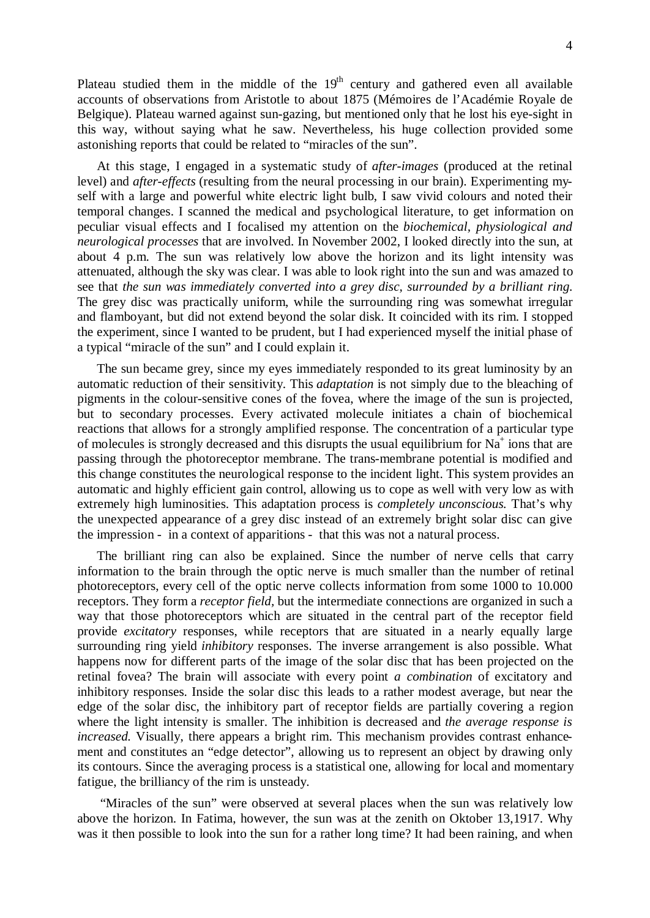Plateau studied them in the middle of the  $19<sup>th</sup>$  century and gathered even all available accounts of observations from Aristotle to about 1875 (Mémoires de l'Académie Royale de Belgique). Plateau warned against sun-gazing, but mentioned only that he lost his eye-sight in this way, without saying what he saw. Nevertheless, his huge collection provided some astonishing reports that could be related to "miracles of the sun".

At this stage, I engaged in a systematic study of *after-images* (produced at the retinal level) and *after-effects* (resulting from the neural processing in our brain). Experimenting myself with a large and powerful white electric light bulb, I saw vivid colours and noted their temporal changes. I scanned the medical and psychological literature, to get information on peculiar visual effects and I focalised my attention on the *biochemical, physiological and neurological processes* that are involved. In November 2002, I looked directly into the sun, at about 4 p.m. The sun was relatively low above the horizon and its light intensity was attenuated, although the sky was clear. I was able to look right into the sun and was amazed to see that *the sun was immediately converted into a grey disc, surrounded by a brilliant ring.* The grey disc was practically uniform, while the surrounding ring was somewhat irregular and flamboyant, but did not extend beyond the solar disk. It coincided with its rim. I stopped the experiment, since I wanted to be prudent, but I had experienced myself the initial phase of a typical "miracle of the sun" and I could explain it.

The sun became grey, since my eyes immediately responded to its great luminosity by an automatic reduction of their sensitivity. This *adaptation* is not simply due to the bleaching of pigments in the colour-sensitive cones of the fovea, where the image of the sun is projected, but to secondary processes. Every activated molecule initiates a chain of biochemical reactions that allows for a strongly amplified response. The concentration of a particular type of molecules is strongly decreased and this disrupts the usual equilibrium for  $N<sub>a</sub><sup>+</sup>$  ions that are passing through the photoreceptor membrane. The trans-membrane potential is modified and this change constitutes the neurological response to the incident light. This system provides an automatic and highly efficient gain control, allowing us to cope as well with very low as with extremely high luminosities. This adaptation process is *completely unconscious.* That's why the unexpected appearance of a grey disc instead of an extremely bright solar disc can give the impression - in a context of apparitions - that this was not a natural process.

The brilliant ring can also be explained. Since the number of nerve cells that carry information to the brain through the optic nerve is much smaller than the number of retinal photoreceptors, every cell of the optic nerve collects information from some 1000 to 10.000 receptors. They form a *receptor field,* but the intermediate connections are organized in such a way that those photoreceptors which are situated in the central part of the receptor field provide *excitatory* responses, while receptors that are situated in a nearly equally large surrounding ring yield *inhibitory* responses. The inverse arrangement is also possible. What happens now for different parts of the image of the solar disc that has been projected on the retinal fovea? The brain will associate with every point *a combination* of excitatory and inhibitory responses. Inside the solar disc this leads to a rather modest average, but near the edge of the solar disc, the inhibitory part of receptor fields are partially covering a region where the light intensity is smaller. The inhibition is decreased and *the average response is increased.* Visually, there appears a bright rim. This mechanism provides contrast enhancement and constitutes an "edge detector", allowing us to represent an object by drawing only its contours. Since the averaging process is a statistical one, allowing for local and momentary fatigue, the brilliancy of the rim is unsteady.

 "Miracles of the sun" were observed at several places when the sun was relatively low above the horizon. In Fatima, however, the sun was at the zenith on Oktober 13,1917. Why was it then possible to look into the sun for a rather long time? It had been raining, and when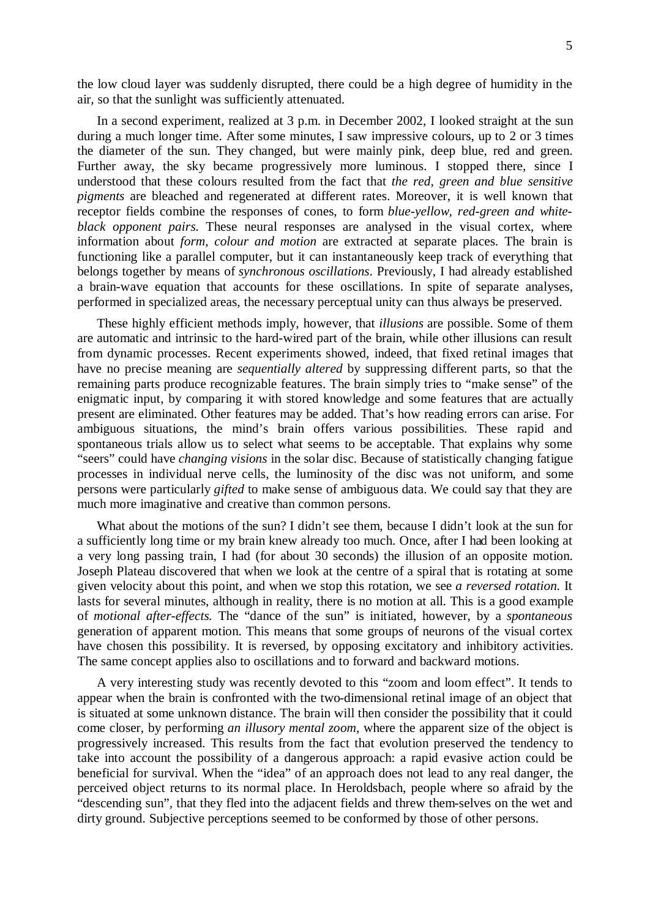the low cloud layer was suddenly disrupted, there could be a high degree of humidity in the air, so that the sunlight was sufficiently attenuated.

In a second experiment, realized at 3 p.m. in December 2002, I looked straight at the sun during a much longer time. After some minutes, I saw impressive colours, up to 2 or 3 times the diameter of the sun. They changed, but were mainly pink, deep blue, red and green. Further away, the sky became progressively more luminous. I stopped there, since I understood that these colours resulted from the fact that *the red, green and blue sensitive pigments* are bleached and regenerated at different rates. Moreover, it is well known that receptor fields combine the responses of cones, to form *blue-yellow, red-green and whiteblack opponent pairs.* These neural responses are analysed in the visual cortex, where information about *form, colour and motion* are extracted at separate places. The brain is functioning like a parallel computer, but it can instantaneously keep track of everything that belongs together by means of *synchronous oscillations*. Previously, I had already established a brain-wave equation that accounts for these oscillations. In spite of separate analyses, performed in specialized areas, the necessary perceptual unity can thus always be preserved.

These highly efficient methods imply, however, that *illusions* are possible. Some of them are automatic and intrinsic to the hard-wired part of the brain, while other illusions can result from dynamic processes. Recent experiments showed, indeed, that fixed retinal images that have no precise meaning are *sequentially altered* by suppressing different parts, so that the remaining parts produce recognizable features. The brain simply tries to "make sense" of the enigmatic input, by comparing it with stored knowledge and some features that are actually present are eliminated. Other features may be added. That's how reading errors can arise. For ambiguous situations, the mind's brain offers various possibilities. These rapid and spontaneous trials allow us to select what seems to be acceptable. That explains why some "seers" could have *changing visions* in the solar disc. Because of statistically changing fatigue processes in individual nerve cells, the luminosity of the disc was not uniform, and some persons were particularly *gifted* to make sense of ambiguous data. We could say that they are much more imaginative and creative than common persons.

What about the motions of the sun? I didn't see them, because I didn't look at the sun for a sufficiently long time or my brain knew already too much. Once, after I had been looking at a very long passing train, I had (for about 30 seconds) the illusion of an opposite motion. Joseph Plateau discovered that when we look at the centre of a spiral that is rotating at some given velocity about this point, and when we stop this rotation, we see *a reversed rotation.* It lasts for several minutes, although in reality, there is no motion at all. This is a good example of *motional after-effects.* The "dance of the sun" is initiated, however, by a *spontaneous*  generation of apparent motion. This means that some groups of neurons of the visual cortex have chosen this possibility. It is reversed, by opposing excitatory and inhibitory activities. The same concept applies also to oscillations and to forward and backward motions.

A very interesting study was recently devoted to this "zoom and loom effect". It tends to appear when the brain is confronted with the two-dimensional retinal image of an object that is situated at some unknown distance. The brain will then consider the possibility that it could come closer, by performing *an illusory mental zoom,* where the apparent size of the object is progressively increased. This results from the fact that evolution preserved the tendency to take into account the possibility of a dangerous approach: a rapid evasive action could be beneficial for survival. When the "idea" of an approach does not lead to any real danger, the perceived object returns to its normal place. In Heroldsbach, people where so afraid by the "descending sun", that they fled into the adjacent fields and threw them-selves on the wet and dirty ground. Subjective perceptions seemed to be conformed by those of other persons.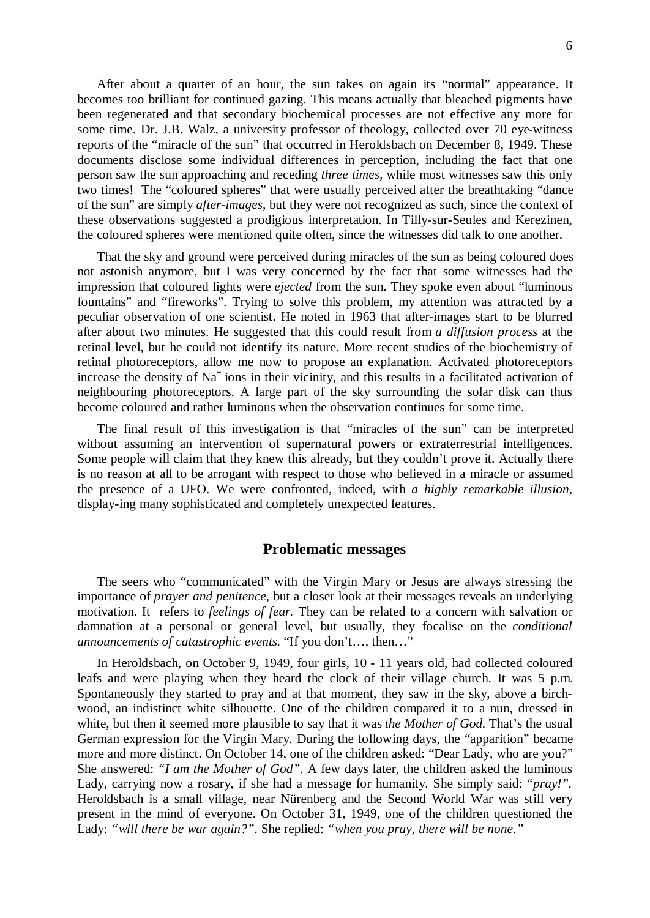After about a quarter of an hour, the sun takes on again its "normal" appearance. It becomes too brilliant for continued gazing. This means actually that bleached pigments have been regenerated and that secondary biochemical processes are not effective any more for some time. Dr. J.B. Walz, a university professor of theology, collected over 70 eye-witness reports of the "miracle of the sun" that occurred in Heroldsbach on December 8, 1949. These documents disclose some individual differences in perception, including the fact that one person saw the sun approaching and receding *three times,* while most witnesses saw this only two times! The "coloured spheres" that were usually perceived after the breathtaking "dance of the sun" are simply *after-images,* but they were not recognized as such, since the context of these observations suggested a prodigious interpretation. In Tilly-sur-Seules and Kerezinen, the coloured spheres were mentioned quite often, since the witnesses did talk to one another.

That the sky and ground were perceived during miracles of the sun as being coloured does not astonish anymore, but I was very concerned by the fact that some witnesses had the impression that coloured lights were *ejected* from the sun. They spoke even about "luminous fountains" and "fireworks". Trying to solve this problem, my attention was attracted by a peculiar observation of one scientist. He noted in 1963 that after-images start to be blurred after about two minutes. He suggested that this could result from *a diffusion process* at the retinal level, but he could not identify its nature. More recent studies of the biochemistry of retinal photoreceptors, allow me now to propose an explanation. Activated photoreceptors increase the density of Na<sup>+</sup> ions in their vicinity, and this results in a facilitated activation of neighbouring photoreceptors. A large part of the sky surrounding the solar disk can thus become coloured and rather luminous when the observation continues for some time.

The final result of this investigation is that "miracles of the sun" can be interpreted without assuming an intervention of supernatural powers or extraterrestrial intelligences. Some people will claim that they knew this already, but they couldn't prove it. Actually there is no reason at all to be arrogant with respect to those who believed in a miracle or assumed the presence of a UFO. We were confronted, indeed, with *a highly remarkable illusion,* display-ing many sophisticated and completely unexpected features.

#### **Problematic messages**

The seers who "communicated" with the Virgin Mary or Jesus are always stressing the importance of *prayer and penitence,* but a closer look at their messages reveals an underlying motivation. It refers to *feelings of fear.* They can be related to a concern with salvation or damnation at a personal or general level, but usually, they focalise on the *conditional announcements of catastrophic events.* "If you don't…, then…"

In Heroldsbach, on October 9, 1949, four girls, 10 - 11 years old, had collected coloured leafs and were playing when they heard the clock of their village church. It was 5 p.m. Spontaneously they started to pray and at that moment, they saw in the sky, above a birchwood, an indistinct white silhouette. One of the children compared it to a nun, dressed in white, but then it seemed more plausible to say that it was *the Mother of God.* That's the usual German expression for the Virgin Mary. During the following days, the "apparition" became more and more distinct. On October 14, one of the children asked: "Dear Lady, who are you?" She answered: *"I am the Mother of God".* A few days later, the children asked the luminous Lady, carrying now a rosary, if she had a message for humanity. She simply said: *"pray!".* Heroldsbach is a small village, near Nürenberg and the Second World War was still very present in the mind of everyone. On October 31, 1949, one of the children questioned the Lady: *"will there be war again?".* She replied: *"when you pray, there will be none."*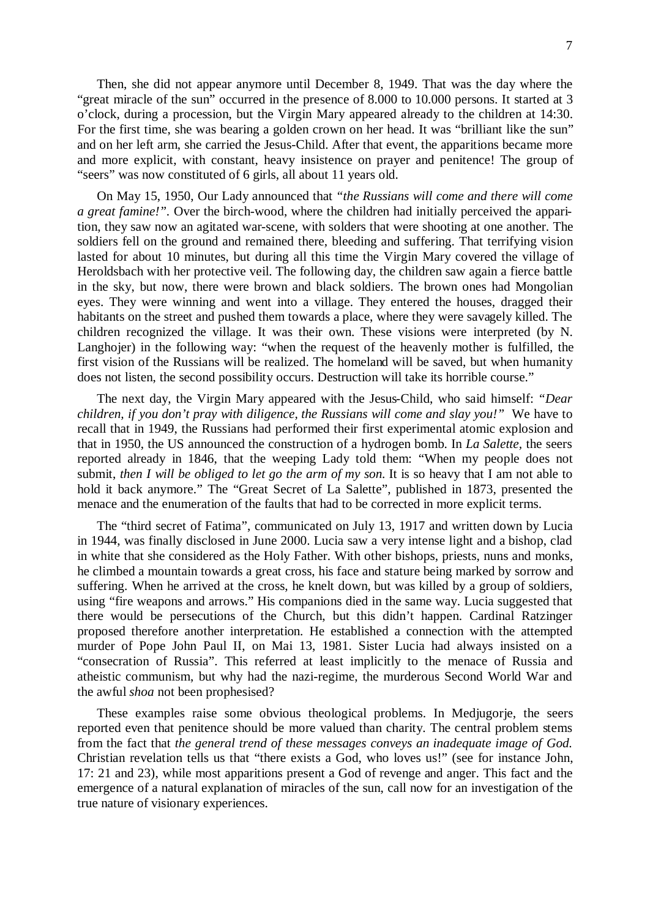Then, she did not appear anymore until December 8, 1949. That was the day where the "great miracle of the sun" occurred in the presence of 8.000 to 10.000 persons. It started at 3 o'clock, during a procession, but the Virgin Mary appeared already to the children at 14:30. For the first time, she was bearing a golden crown on her head. It was "brilliant like the sun" and on her left arm, she carried the Jesus-Child. After that event, the apparitions became more and more explicit, with constant, heavy insistence on prayer and penitence! The group of "seers" was now constituted of 6 girls, all about 11 years old.

On May 15, 1950, Our Lady announced that *"the Russians will come and there will come a great famine!".* Over the birch-wood, where the children had initially perceived the apparition, they saw now an agitated war-scene, with solders that were shooting at one another. The soldiers fell on the ground and remained there, bleeding and suffering. That terrifying vision lasted for about 10 minutes, but during all this time the Virgin Mary covered the village of Heroldsbach with her protective veil. The following day, the children saw again a fierce battle in the sky, but now, there were brown and black soldiers. The brown ones had Mongolian eyes. They were winning and went into a village. They entered the houses, dragged their habitants on the street and pushed them towards a place, where they were savagely killed. The children recognized the village. It was their own. These visions were interpreted (by N. Langhojer) in the following way: "when the request of the heavenly mother is fulfilled, the first vision of the Russians will be realized. The homeland will be saved, but when humanity does not listen, the second possibility occurs. Destruction will take its horrible course."

The next day, the Virgin Mary appeared with the Jesus-Child, who said himself: *"Dear children, if you don't pray with diligence, the Russians will come and slay you!"* We have to recall that in 1949, the Russians had performed their first experimental atomic explosion and that in 1950, the US announced the construction of a hydrogen bomb. In *La Salette,* the seers reported already in 1846, that the weeping Lady told them: "When my people does not submit, *then I will be obliged to let go the arm of my son.* It is so heavy that I am not able to hold it back anymore." The "Great Secret of La Salette", published in 1873, presented the menace and the enumeration of the faults that had to be corrected in more explicit terms.

The "third secret of Fatima", communicated on July 13, 1917 and written down by Lucia in 1944, was finally disclosed in June 2000. Lucia saw a very intense light and a bishop, clad in white that she considered as the Holy Father. With other bishops, priests, nuns and monks, he climbed a mountain towards a great cross, his face and stature being marked by sorrow and suffering. When he arrived at the cross, he knelt down, but was killed by a group of soldiers, using "fire weapons and arrows." His companions died in the same way. Lucia suggested that there would be persecutions of the Church, but this didn't happen. Cardinal Ratzinger proposed therefore another interpretation. He established a connection with the attempted murder of Pope John Paul II, on Mai 13, 1981. Sister Lucia had always insisted on a "consecration of Russia". This referred at least implicitly to the menace of Russia and atheistic communism, but why had the nazi-regime, the murderous Second World War and the awful *shoa* not been prophesised?

These examples raise some obvious theological problems. In Medjugorje, the seers reported even that penitence should be more valued than charity. The central problem stems from the fact that *the general trend of these messages conveys an inadequate image of God.*  Christian revelation tells us that "there exists a God, who loves us!" (see for instance John, 17: 21 and 23), while most apparitions present a God of revenge and anger. This fact and the emergence of a natural explanation of miracles of the sun, call now for an investigation of the true nature of visionary experiences.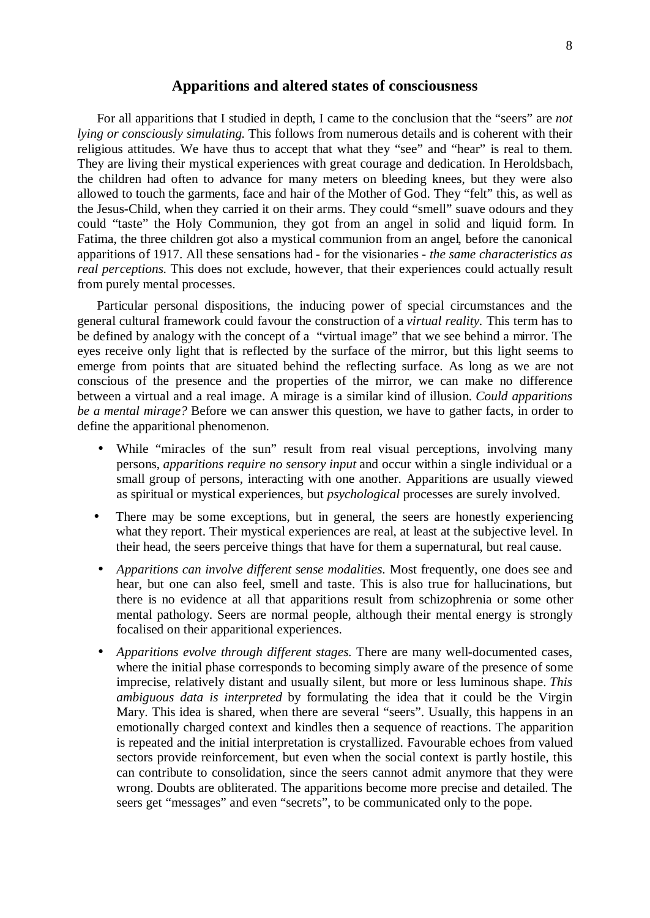### **Apparitions and altered states of consciousness**

For all apparitions that I studied in depth, I came to the conclusion that the "seers" are *not lying or consciously simulating.* This follows from numerous details and is coherent with their religious attitudes. We have thus to accept that what they "see" and "hear" is real to them. They are living their mystical experiences with great courage and dedication. In Heroldsbach, the children had often to advance for many meters on bleeding knees, but they were also allowed to touch the garments, face and hair of the Mother of God. They "felt" this, as well as the Jesus-Child, when they carried it on their arms. They could "smell" suave odours and they could "taste" the Holy Communion, they got from an angel in solid and liquid form. In Fatima, the three children got also a mystical communion from an angel, before the canonical apparitions of 1917. All these sensations had - for the visionaries - *the same characteristics as real perceptions.* This does not exclude, however, that their experiences could actually result from purely mental processes.

Particular personal dispositions, the inducing power of special circumstances and the general cultural framework could favour the construction of a *virtual reality.* This term has to be defined by analogy with the concept of a "virtual image" that we see behind a mirror. The eyes receive only light that is reflected by the surface of the mirror, but this light seems to emerge from points that are situated behind the reflecting surface. As long as we are not conscious of the presence and the properties of the mirror, we can make no difference between a virtual and a real image. A mirage is a similar kind of illusion. *Could apparitions be a mental mirage?* Before we can answer this question, we have to gather facts, in order to define the apparitional phenomenon.

- While "miracles of the sun" result from real visual perceptions, involving many persons, *apparitions require no sensory input* and occur within a single individual or a small group of persons, interacting with one another. Apparitions are usually viewed as spiritual or mystical experiences, but *psychological* processes are surely involved.
- There may be some exceptions, but in general, the seers are honestly experiencing what they report. Their mystical experiences are real, at least at the subjective level. In their head, the seers perceive things that have for them a supernatural, but real cause.
- *Apparitions can involve different sense modalities.* Most frequently, one does see and hear, but one can also feel, smell and taste. This is also true for hallucinations, but there is no evidence at all that apparitions result from schizophrenia or some other mental pathology. Seers are normal people, although their mental energy is strongly focalised on their apparitional experiences.
- *Apparitions evolve through different stages.* There are many well-documented cases, where the initial phase corresponds to becoming simply aware of the presence of some imprecise, relatively distant and usually silent, but more or less luminous shape. *This ambiguous data is interpreted* by formulating the idea that it could be the Virgin Mary. This idea is shared, when there are several "seers". Usually, this happens in an emotionally charged context and kindles then a sequence of reactions. The apparition is repeated and the initial interpretation is crystallized. Favourable echoes from valued sectors provide reinforcement, but even when the social context is partly hostile, this can contribute to consolidation, since the seers cannot admit anymore that they were wrong. Doubts are obliterated. The apparitions become more precise and detailed. The seers get "messages" and even "secrets", to be communicated only to the pope.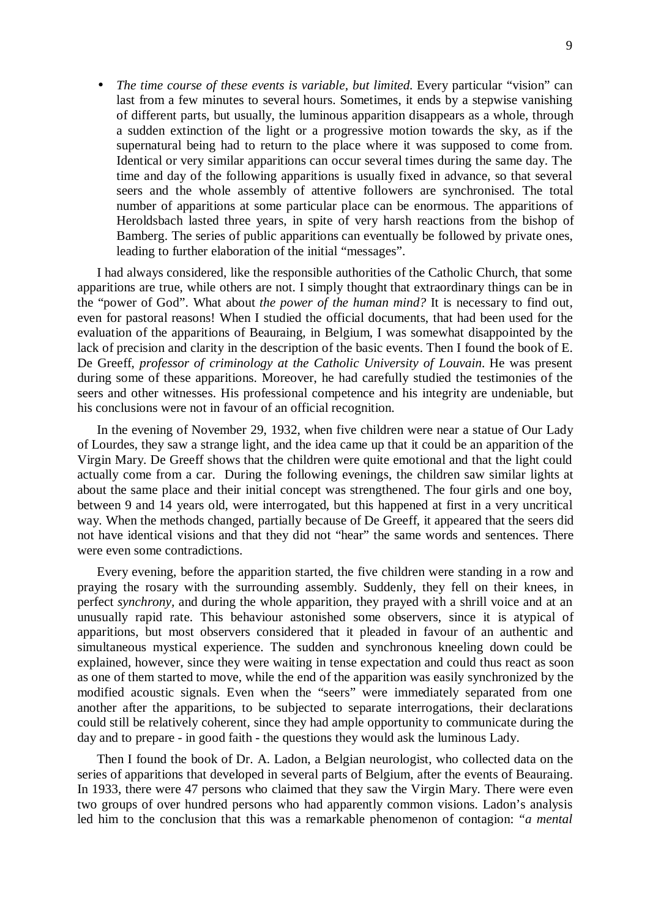• *The time course of these events is variable, but limited.* Every particular "vision" can last from a few minutes to several hours. Sometimes, it ends by a stepwise vanishing of different parts, but usually, the luminous apparition disappears as a whole, through a sudden extinction of the light or a progressive motion towards the sky, as if the supernatural being had to return to the place where it was supposed to come from. Identical or very similar apparitions can occur several times during the same day. The time and day of the following apparitions is usually fixed in advance, so that several seers and the whole assembly of attentive followers are synchronised. The total number of apparitions at some particular place can be enormous. The apparitions of Heroldsbach lasted three years, in spite of very harsh reactions from the bishop of Bamberg. The series of public apparitions can eventually be followed by private ones, leading to further elaboration of the initial "messages".

I had always considered, like the responsible authorities of the Catholic Church, that some apparitions are true, while others are not. I simply thought that extraordinary things can be in the "power of God". What about *the power of the human mind?* It is necessary to find out, even for pastoral reasons! When I studied the official documents, that had been used for the evaluation of the apparitions of Beauraing, in Belgium, I was somewhat disappointed by the lack of precision and clarity in the description of the basic events. Then I found the book of E. De Greeff, *professor of criminology at the Catholic University of Louvain*. He was present during some of these apparitions. Moreover, he had carefully studied the testimonies of the seers and other witnesses. His professional competence and his integrity are undeniable, but his conclusions were not in favour of an official recognition.

In the evening of November 29, 1932, when five children were near a statue of Our Lady of Lourdes, they saw a strange light, and the idea came up that it could be an apparition of the Virgin Mary. De Greeff shows that the children were quite emotional and that the light could actually come from a car. During the following evenings, the children saw similar lights at about the same place and their initial concept was strengthened. The four girls and one boy, between 9 and 14 years old, were interrogated, but this happened at first in a very uncritical way. When the methods changed, partially because of De Greeff, it appeared that the seers did not have identical visions and that they did not "hear" the same words and sentences. There were even some contradictions.

Every evening, before the apparition started, the five children were standing in a row and praying the rosary with the surrounding assembly. Suddenly, they fell on their knees, in perfect *synchrony,* and during the whole apparition, they prayed with a shrill voice and at an unusually rapid rate. This behaviour astonished some observers, since it is atypical of apparitions, but most observers considered that it pleaded in favour of an authentic and simultaneous mystical experience. The sudden and synchronous kneeling down could be explained, however, since they were waiting in tense expectation and could thus react as soon as one of them started to move, while the end of the apparition was easily synchronized by the modified acoustic signals. Even when the "seers" were immediately separated from one another after the apparitions, to be subjected to separate interrogations, their declarations could still be relatively coherent, since they had ample opportunity to communicate during the day and to prepare - in good faith - the questions they would ask the luminous Lady.

Then I found the book of Dr. A. Ladon, a Belgian neurologist, who collected data on the series of apparitions that developed in several parts of Belgium, after the events of Beauraing. In 1933, there were 47 persons who claimed that they saw the Virgin Mary. There were even two groups of over hundred persons who had apparently common visions. Ladon's analysis led him to the conclusion that this was a remarkable phenomenon of contagion: *"a mental*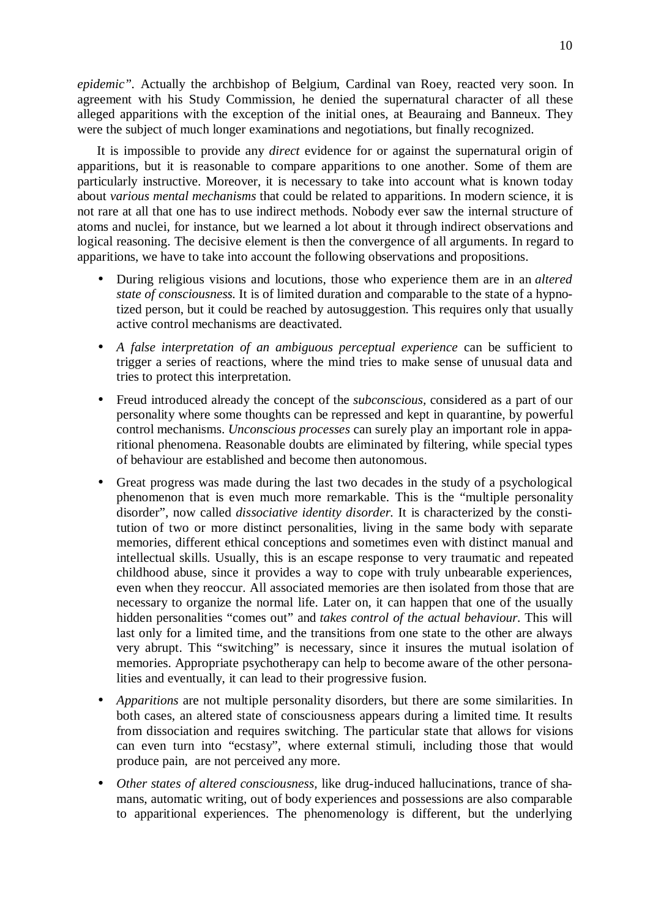*epidemic".* Actually the archbishop of Belgium, Cardinal van Roey, reacted very soon. In agreement with his Study Commission, he denied the supernatural character of all these alleged apparitions with the exception of the initial ones, at Beauraing and Banneux. They were the subject of much longer examinations and negotiations, but finally recognized.

It is impossible to provide any *direct* evidence for or against the supernatural origin of apparitions, but it is reasonable to compare apparitions to one another. Some of them are particularly instructive. Moreover, it is necessary to take into account what is known today about *various mental mechanisms* that could be related to apparitions. In modern science, it is not rare at all that one has to use indirect methods. Nobody ever saw the internal structure of atoms and nuclei, for instance, but we learned a lot about it through indirect observations and logical reasoning. The decisive element is then the convergence of all arguments. In regard to apparitions, we have to take into account the following observations and propositions.

- During religious visions and locutions, those who experience them are in an *altered state of consciousness.* It is of limited duration and comparable to the state of a hypnotized person, but it could be reached by autosuggestion. This requires only that usually active control mechanisms are deactivated.
- *A false interpretation of an ambiguous perceptual experience* can be sufficient to trigger a series of reactions, where the mind tries to make sense of unusual data and tries to protect this interpretation.
- Freud introduced already the concept of the *subconscious,* considered as a part of our personality where some thoughts can be repressed and kept in quarantine, by powerful control mechanisms. *Unconscious processes* can surely play an important role in apparitional phenomena. Reasonable doubts are eliminated by filtering, while special types of behaviour are established and become then autonomous.
- Great progress was made during the last two decades in the study of a psychological phenomenon that is even much more remarkable. This is the "multiple personality disorder", now called *dissociative identity disorder.* It is characterized by the constitution of two or more distinct personalities, living in the same body with separate memories, different ethical conceptions and sometimes even with distinct manual and intellectual skills. Usually, this is an escape response to very traumatic and repeated childhood abuse, since it provides a way to cope with truly unbearable experiences, even when they reoccur. All associated memories are then isolated from those that are necessary to organize the normal life. Later on, it can happen that one of the usually hidden personalities "comes out" and *takes control of the actual behaviour.* This will last only for a limited time, and the transitions from one state to the other are always very abrupt. This "switching" is necessary, since it insures the mutual isolation of memories. Appropriate psychotherapy can help to become aware of the other personalities and eventually, it can lead to their progressive fusion.
- *Apparitions* are not multiple personality disorders, but there are some similarities. In both cases, an altered state of consciousness appears during a limited time. It results from dissociation and requires switching. The particular state that allows for visions can even turn into "ecstasy", where external stimuli, including those that would produce pain, are not perceived any more.
- *Other states of altered consciousness,* like drug-induced hallucinations, trance of shamans, automatic writing, out of body experiences and possessions are also comparable to apparitional experiences. The phenomenology is different, but the underlying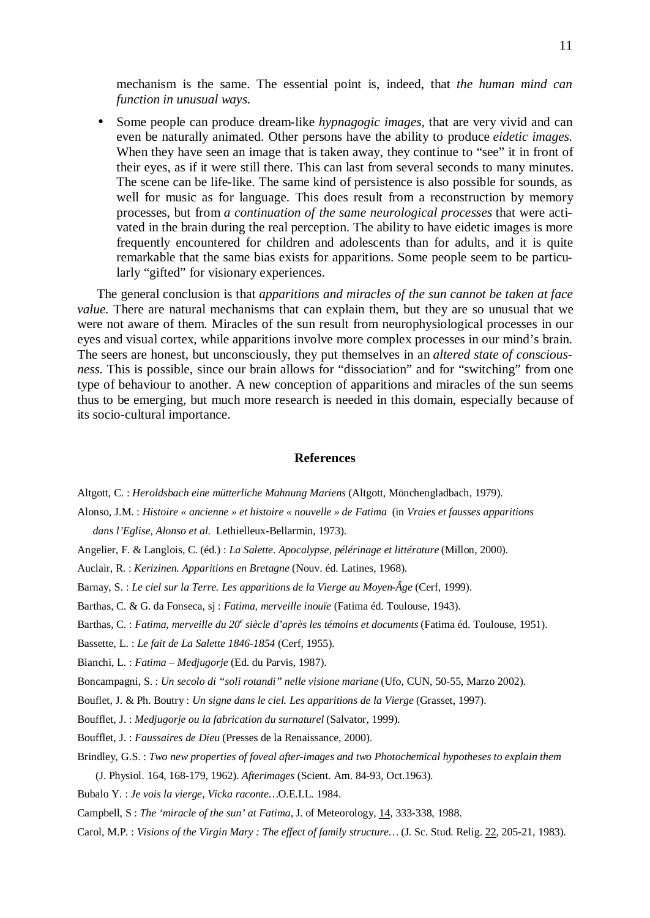mechanism is the same. The essential point is, indeed, that *the human mind can function in unusual ways.* 

• Some people can produce dream-like *hypnagogic images,* that are very vivid and can even be naturally animated. Other persons have the ability to produce *eidetic images.*  When they have seen an image that is taken away, they continue to "see" it in front of their eyes, as if it were still there. This can last from several seconds to many minutes. The scene can be life-like. The same kind of persistence is also possible for sounds, as well for music as for language. This does result from a reconstruction by memory processes, but from *a continuation of the same neurological processes* that were activated in the brain during the real perception. The ability to have eidetic images is more frequently encountered for children and adolescents than for adults, and it is quite remarkable that the same bias exists for apparitions. Some people seem to be particularly "gifted" for visionary experiences.

The general conclusion is that *apparitions and miracles of the sun cannot be taken at face value.* There are natural mechanisms that can explain them, but they are so unusual that we were not aware of them. Miracles of the sun result from neurophysiological processes in our eyes and visual cortex, while apparitions involve more complex processes in our mind's brain. The seers are honest, but unconsciously, they put themselves in an *altered state of consciousness.* This is possible, since our brain allows for "dissociation" and for "switching" from one type of behaviour to another. A new conception of apparitions and miracles of the sun seems thus to be emerging, but much more research is needed in this domain, especially because of its socio-cultural importance.

#### **References**

Altgott, C. : *Heroldsbach eine mütterliche Mahnung Mariens* (Altgott, Mönchengladbach, 1979).

Alonso, J.M. : *Histoire « ancienne » et histoire « nouvelle » de Fatima* (in *Vraies et fausses apparitions* 

*dans l'Eglise, Alonso et al.* Lethielleux-Bellarmin, 1973).

- Angelier, F. & Langlois, C. (éd.) : *La Salette. Apocalypse, pélérinage et littérature* (Millon, 2000).
- Auclair, R. : *Kerizinen. Apparitions en Bretagne* (Nouv. éd. Latines, 1968).
- Barnay, S. : *Le ciel sur la Terre. Les apparitions de la Vierge au Moyen-Âge* (Cerf, 1999).
- Barthas, C. & G. da Fonseca, sj : *Fatima, merveille inouïe* (Fatima éd. Toulouse, 1943).
- Barthas, C. : *Fatima, merveille du 20<sup>e</sup> siècle d'après les témoins et documents* (Fatima éd. Toulouse, 1951).
- Bassette, L. : *Le fait de La Salette 1846-1854* (Cerf, 1955).
- Bianchi, L. : *Fatima Medjugorje* (Ed. du Parvis, 1987).
- Boncampagni, S. : *Un secolo di "soli rotandi" nelle visione mariane* (Ufo, CUN, 50-55, Marzo 2002).
- Bouflet, J. & Ph. Boutry : *Un signe dans le ciel. Les apparitions de la Vierge* (Grasset, 1997).
- Boufflet, J. : *Medjugorje ou la fabrication du surnaturel* (Salvator, 1999).
- Boufflet, J. : *Faussaires de Dieu* (Presses de la Renaissance, 2000).
- Brindley, G.S. : *Two new properties of foveal after-images and two Photochemical hypotheses to explain them*
	- (J. Physiol. 164, 168-179, 1962). *Afterimages* (Scient. Am. 84-93, Oct.1963).
- Bubalo Y. : *Je vois la vierge, Vicka raconte…*O.E.I.L. 1984.
- Campbell, S : *The 'miracle of the sun' at Fatima,* J. of Meteorology, 14, 333-338, 1988.
- Carol, M.P. : *Visions of the Virgin Mary : The effect of family structure…* (J. Sc. Stud. Relig. 22, 205-21, 1983).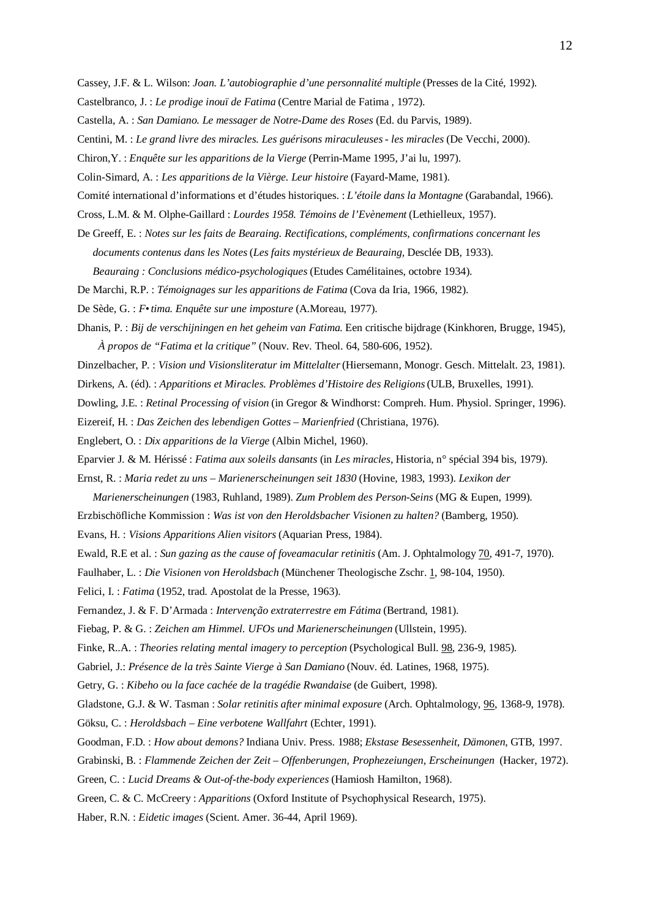- Cassey, J.F. & L. Wilson: *Joan. L'autobiographie d'une personnalité multiple* (Presses de la Cité, 1992).
- Castelbranco, J. : *Le prodige inouï de Fatima* (Centre Marial de Fatima , 1972).
- Castella, A. : *San Damiano. Le messager de Notre-Dame des Roses* (Ed. du Parvis, 1989).
- Centini, M. : *Le grand livre des miracles. Les guérisons miraculeuses les miracles* (De Vecchi, 2000).
- Chiron,Y. : *Enquête sur les apparitions de la Vierge* (Perrin-Mame 1995, J'ai lu, 1997).
- Colin-Simard, A. : *Les apparitions de la Vièrge. Leur histoire* (Fayard-Mame, 1981).
- Comité international d'informations et d'études historiques. : *L'étoile dans la Montagne* (Garabandal, 1966).
- Cross, L.M. & M. Olphe-Gaillard : *Lourdes 1958. Témoins de l'Evènement* (Lethielleux, 1957).
- De Greeff, E. : *Notes sur les faits de Bearaing. Rectifications, compléments, confirmations concernant les documents contenus dans les Notes* (*Les faits mystérieux de Beauraing,* Desclée DB, 1933).

*Beauraing : Conclusions médico-psychologiques* (Etudes Camélitaines, octobre 1934).

De Marchi, R.P. : *Témoignages sur les apparitions de Fatima* (Cova da Iria, 1966, 1982).

- De Sède, G. : *F•tima. Enquête sur une imposture* (A.Moreau, 1977).
- Dhanis, P. : *Bij de verschijningen en het geheim van Fatima*. Een critische bijdrage (Kinkhoren, Brugge, 1945), *À propos de "Fatima et la critique"* (Nouv. Rev. Theol. 64, 580-606, 1952).
- Dinzelbacher, P. : *Vision und Visionsliteratur im Mittelalter* (Hiersemann, Monogr. Gesch. Mittelalt. 23, 1981).
- Dirkens, A. (éd). : *Apparitions et Miracles. Problèmes d'Histoire des Religions* (ULB, Bruxelles, 1991).
- Dowling, J.E. : *Retinal Processing of vision* (in Gregor & Windhorst: Compreh. Hum. Physiol. Springer, 1996).
- Eizereif, H. : *Das Zeichen des lebendigen Gottes Marienfried* (Christiana, 1976).
- Englebert, O. : *Dix apparitions de la Vierge* (Albin Michel, 1960).
- Eparvier J. & M. Hérissé : *Fatima aux soleils dansants* (in *Les miracles,* Historia, n° spécial 394 bis, 1979).
- Ernst, R. : *Maria redet zu uns Marienerscheinungen seit 1830* (Hovine, 1983, 1993). *Lexikon der*
- *Marienerscheinungen* (1983, Ruhland, 1989). *Zum Problem des Person-Seins* (MG & Eupen, 1999).
- Erzbischöfliche Kommission : *Was ist von den Heroldsbacher Visionen zu halten?* (Bamberg, 1950).
- Evans, H. : *Visions Apparitions Alien visitors* (Aquarian Press, 1984).
- Ewald, R.E et al. : *Sun gazing as the cause of foveamacular retinitis* (Am. J. Ophtalmology 70, 491-7, 1970).
- Faulhaber, L. : *Die Visionen von Heroldsbach* (Münchener Theologische Zschr. 1, 98-104, 1950).
- Felici, I. : *Fatima* (1952, trad. Apostolat de la Presse, 1963).
- Fernandez, J. & F. D'Armada : *Intervenção extraterrestre em Fátima* (Bertrand, 1981).
- Fiebag, P. & G. : *Zeichen am Himmel. UFOs und Marienerscheinungen* (Ullstein, 1995).
- Finke, R..A. : *Theories relating mental imagery to perception* (Psychological Bull. 98, 236-9, 1985).
- Gabriel, J.: *Présence de la très Sainte Vierge à San Damiano* (Nouv. éd. Latines, 1968, 1975).
- Getry, G. : *Kibeho ou la face cachée de la tragédie Rwandaise* (de Guibert, 1998).
- Gladstone, G.J. & W. Tasman : *Solar retinitis after minimal exposure* (Arch. Ophtalmology, 96, 1368-9, 1978). Göksu, C. : *Heroldsbach – Eine verbotene Wallfahrt* (Echter, 1991).
- Goodman, F.D. : *How about demons?* Indiana Univ. Press. 1988; *Ekstase Besessenheit, Dämonen,* GTB, 1997.
- Grabinski, B. : *Flammende Zeichen der Zeit Offenberungen, Prophezeiungen, Erscheinungen* (Hacker, 1972).
- Green, C. : *Lucid Dreams & Out-of-the-body experiences* (Hamiosh Hamilton, 1968).
- Green, C. & C. McCreery : *Apparitions* (Oxford Institute of Psychophysical Research, 1975).
- Haber, R.N. : *Eidetic images* (Scient. Amer. 36-44, April 1969).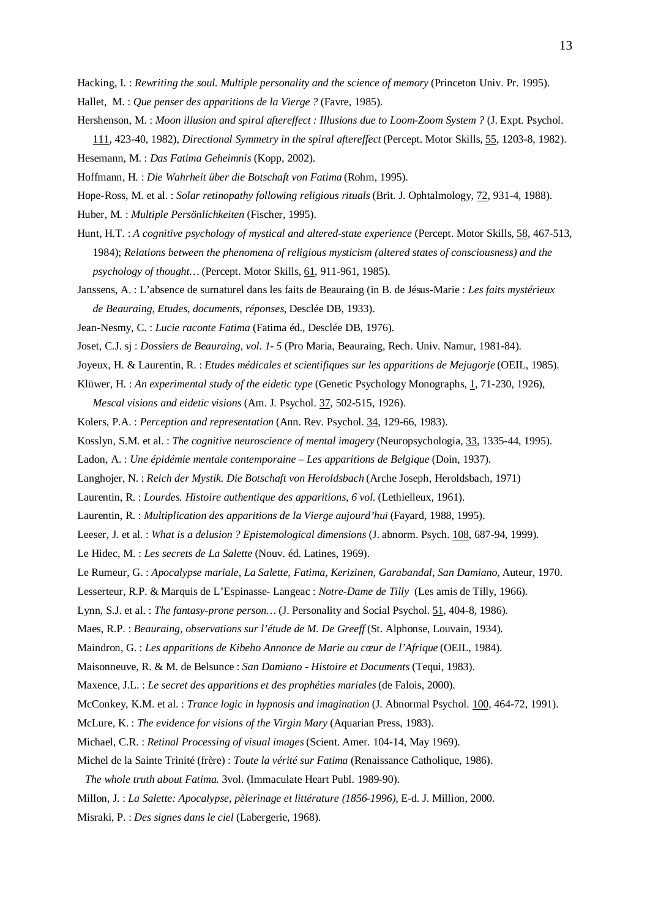Hacking, I. : *Rewriting the soul. Multiple personality and the science of memory* (Princeton Univ. Pr. 1995).

- Hallet, M. : *Que penser des apparitions de la Vierge ?* (Favre, 1985).
- Hershenson, M. : *Moon illusion and spiral aftereffect : Illusions due to Loom-Zoom System ?* (J. Expt. Psychol. 111, 423-40, 1982), *Directional Symmetry in the spiral aftereffect* (Percept. Motor Skills, 55, 1203-8, 1982).

Hesemann, M. : *Das Fatima Geheimnis* (Kopp, 2002).

Hoffmann, H. : *Die Wahrheit über die Botschaft von Fatima* (Rohm, 1995).

Hope-Ross, M. et al. : *Solar retinopathy following religious rituals* (Brit. J. Ophtalmology, 72, 931-4, 1988).

Huber, M. : *Multiple Persönlichkeiten* (Fischer, 1995).

Hunt, H.T. : *A cognitive psychology of mystical and altered-state experience* (Percept. Motor Skills, 58, 467-513, 1984); *Relations between the phenomena of religious mysticism (altered states of consciousness) and the psychology of thought...* (Percept. Motor Skills, 61, 911-961, 1985).

Janssens, A. : L'absence de surnaturel dans les faits de Beauraing (in B. de Jésus-Marie : *Les faits mystérieux de Beauraing, Etudes, documents, réponses,* Desclée DB, 1933).

Jean-Nesmy, C. : *Lucie raconte Fatima* (Fatima éd., Desclée DB, 1976).

- Joset, C.J. sj : *Dossiers de Beauraing, vol. 1- 5* (Pro Maria, Beauraing, Rech. Univ. Namur, 1981-84).
- Joyeux, H. & Laurentin, R. : *Etudes médicales et scientifiques sur les apparitions de Mejugorje* (OEIL, 1985).
- Klüwer, H. : *An experimental study of the eidetic type* (Genetic Psychology Monographs, 1, 71-230, 1926), *Mescal visions and eidetic visions* (Am. J. Psychol. 37, 502-515, 1926).
- Kolers, P.A. : *Perception and representation* (Ann. Rev. Psychol. 34, 129-66, 1983).
- Kosslyn, S.M. et al. : *The cognitive neuroscience of mental imagery* (Neuropsychologia, 33, 1335-44, 1995).
- Ladon, A. : *Une épidémie mentale contemporaine Les apparitions de Belgique* (Doin, 1937).
- Langhojer, N. : *Reich der Mystik. Die Botschaft von Heroldsbach* (Arche Joseph, Heroldsbach, 1971)
- Laurentin, R. : *Lourdes. Histoire authentique des apparitions, 6 vol.* (Lethielleux, 1961).
- Laurentin, R. : *Multiplication des apparitions de la Vierge aujourd'hui* (Fayard, 1988, 1995).
- Leeser, J. et al. : *What is a delusion ? Epistemological dimensions* (J. abnorm. Psych. 108, 687-94, 1999).

Le Hidec, M. : *Les secrets de La Salette* (Nouv. éd. Latines, 1969).

Le Rumeur, G. : *Apocalypse mariale, La Salette, Fatima, Kerizinen, Garabandal, San Damiano,* Auteur, 1970.

Lesserteur, R.P. & Marquis de L'Espinasse- Langeac : *Notre-Dame de Tilly* (Les amis de Tilly, 1966).

Lynn, S.J. et al. : *The fantasy-prone person…* (J. Personality and Social Psychol. 51, 404-8, 1986).

Maes, R.P. : *Beauraing, observations sur l'étude de M. De Greeff* (St. Alphonse, Louvain, 1934).

Maindron, G. : *Les apparitions de Kibeho Annonce de Marie au cœur de l'Afrique* (OEIL, 1984).

Maisonneuve, R. & M. de Belsunce : *San Damiano - Histoire et Documents* (Tequi, 1983).

Maxence, J.L. : *Le secret des apparitions et des prophéties mariales* (de Falois, 2000).

McConkey, K.M. et al. : *Trance logic in hypnosis and imagination* (J. Abnormal Psychol. 100, 464-72, 1991).

- McLure, K. : *The evidence for visions of the Virgin Mary* (Aquarian Press, 1983).
- Michael, C.R. : *Retinal Processing of visual images* (Scient. Amer. 104-14, May 1969).
- Michel de la Sainte Trinité (frère) : *Toute la vérité sur Fatima* (Renaissance Catholique, 1986).
- *The whole truth about Fatima.* 3vol. (Immaculate Heart Publ. 1989-90).

Millon, J. : *La Salette: Apocalypse, pèlerinage et littérature (1856-1996),* E-d. J. Million, 2000.

Misraki, P. : *Des signes dans le ciel* (Labergerie, 1968).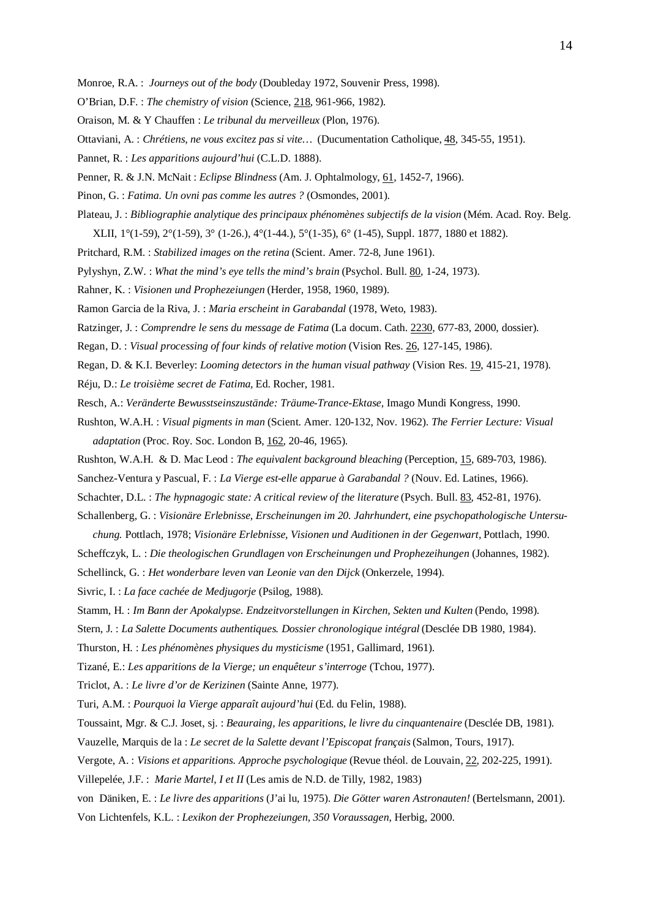- Monroe, R.A. : *Journeys out of the body* (Doubleday 1972, Souvenir Press, 1998).
- O'Brian, D.F. : *The chemistry of vision* (Science, 218, 961-966, 1982).
- Oraison, M. & Y Chauffen : *Le tribunal du merveilleux* (Plon, 1976).
- Ottaviani, A. : *Chrétiens, ne vous excitez pas si vite…* (Ducumentation Catholique, 48, 345-55, 1951).
- Pannet, R. : *Les apparitions aujourd'hui* (C.L.D. 1888).
- Penner, R. & J.N. McNait : *Eclipse Blindness* (Am. J. Ophtalmology, 61, 1452-7, 1966).
- Pinon, G. : *Fatima. Un ovni pas comme les autres ?* (Osmondes, 2001).
- Plateau, J. : *Bibliographie analytique des principaux phénomènes subjectifs de la vision* (Mém. Acad. Roy. Belg. XLII, 1°(1-59), 2°(1-59), 3° (1-26.), 4°(1-44.), 5°(1-35), 6° (1-45), Suppl. 1877, 1880 et 1882).
- Pritchard, R.M. : *Stabilized images on the retina* (Scient. Amer. 72-8, June 1961).
- Pylyshyn, Z.W. : *What the mind's eye tells the mind's brain* (Psychol. Bull. 80, 1-24, 1973).
- Rahner, K. : *Visionen und Prophezeiungen* (Herder, 1958, 1960, 1989).
- Ramon Garcia de la Riva, J. : *Maria erscheint in Garabandal* (1978, Weto, 1983).
- Ratzinger, J. : *Comprendre le sens du message de Fatima* (La docum. Cath. 2230, 677-83, 2000, dossier).
- Regan, D. : *Visual processing of four kinds of relative motion* (Vision Res. 26, 127-145, 1986).
- Regan, D. & K.I. Beverley: *Looming detectors in the human visual pathway* (Vision Res. 19, 415-21, 1978).
- Réju, D.: *Le troisième secret de Fatima,* Ed. Rocher, 1981.
- Resch, A.: *Veränderte Bewusstseinszustände: Träume-Trance-Ektase,* Imago Mundi Kongress, 1990.
- Rushton, W.A.H. : *Visual pigments in man* (Scient. Amer. 120-132, Nov. 1962). *The Ferrier Lecture: Visual adaptation* (Proc. Roy. Soc. London B, 162, 20-46, 1965).
- Rushton, W.A.H. & D. Mac Leod : *The equivalent background bleaching* (Perception, 15, 689-703, 1986).
- Sanchez-Ventura y Pascual, F. : *La Vierge est-elle apparue à Garabandal ?* (Nouv. Ed. Latines, 1966).
- Schachter, D.L. : *The hypnagogic state: A critical review of the literature* (Psych. Bull. 83, 452-81, 1976).

Schallenberg, G. : *Visionäre Erlebnisse, Erscheinungen im 20. Jahrhundert, eine psychopathologische Untersu-*

- *chung.* Pottlach, 1978; *Visionäre Erlebnisse, Visionen und Auditionen in der Gegenwart,* Pottlach, 1990.
- Scheffczyk, L. : *Die theologischen Grundlagen von Erscheinungen und Prophezeihungen* (Johannes, 1982).

Schellinck, G. : *Het wonderbare leven van Leonie van den Dijck* (Onkerzele, 1994).

Sivric, I. : *La face cachée de Medjugorje* (Psilog, 1988).

- Stamm, H. : *Im Bann der Apokalypse. Endzeitvorstellungen in Kirchen, Sekten und Kulten* (Pendo, 1998).
- Stern, J. : *La Salette Documents authentiques. Dossier chronologique intégral* (Desclée DB 1980, 1984).
- Thurston, H. : *Les phénomènes physiques du mysticisme* (1951, Gallimard, 1961).
- Tizané, E.: *Les apparitions de la Vierge; un enquêteur s'interroge* (Tchou, 1977).

Triclot, A. : *Le livre d'or de Kerizinen* (Sainte Anne, 1977).

- Turi, A.M. : *Pourquoi la Vierge apparaît aujourd'hui* (Ed. du Felin, 1988).
- Toussaint, Mgr. & C.J. Joset, sj. : *Beauraing, les apparitions, le livre du cinquantenaire* (Desclée DB, 1981).
- Vauzelle, Marquis de la : *Le secret de la Salette devant l'Episcopat français* (Salmon, Tours, 1917).
- Vergote, A. : *Visions et apparitions. Approche psychologique* (Revue théol. de Louvain, 22, 202-225, 1991).
- Villepelée, J.F. : *Marie Martel, I et II* (Les amis de N.D. de Tilly, 1982, 1983)
- von Däniken, E. : *Le livre des apparitions* (J'ai lu, 1975). *Die Götter waren Astronauten!* (Bertelsmann, 2001). Von Lichtenfels, K.L. : *Lexikon der Prophezeiungen, 350 Voraussagen*, Herbig, 2000.